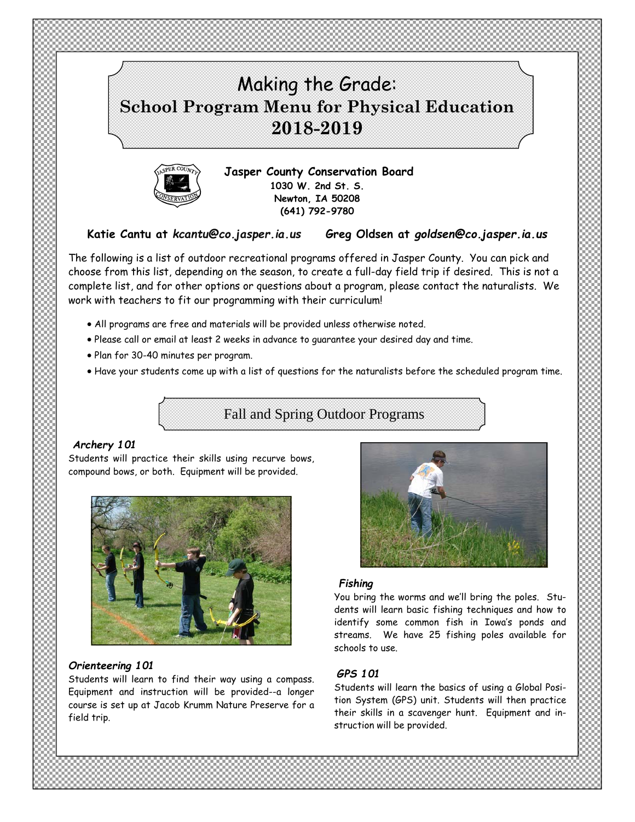



**Jasper County Conservation Board 1030 W. 2nd St. S. Newton, IA 50208 (641) 792-9780** 

**Katie Cantu at** *kcantu@co.jasper.ia.us* **Greg Oldsen at** *goldsen@co.jasper.ia.us*

The following is a list of outdoor recreational programs offered in Jasper County. You can pick and choose from this list, depending on the season, to create a full-day field trip if desired. This is not a complete list, and for other options or questions about a program, please contact the naturalists*.* We work with teachers to fit our programming with their curriculum!

- All programs are free and materials will be provided unless otherwise noted.
- Please call or email at least 2 weeks in advance to guarantee your desired day and time.
- Plan for 30-40 minutes per program.
- Have your students come up with a list of questions for the naturalists before the scheduled program time.

Fall and Spring Outdoor Programs

# *Archery 101*

Students will practice their skills using recurve bows, compound bows, or both. Equipment will be provided.



## *Orienteering 101*

Students will learn to find their way using a compass. Equipment and instruction will be provided--a longer course is set up at Jacob Krumm Nature Preserve for a field trip.



# *Fishing*

You bring the worms and we'll bring the poles. Students will learn basic fishing techniques and how to identify some common fish in Iowa's ponds and streams. We have 25 fishing poles available for schools to use.

# *GPS 101*

Students will learn the basics of using a Global Position System (GPS) unit. Students will then practice their skills in a scavenger hunt. Equipment and instruction will be provided.